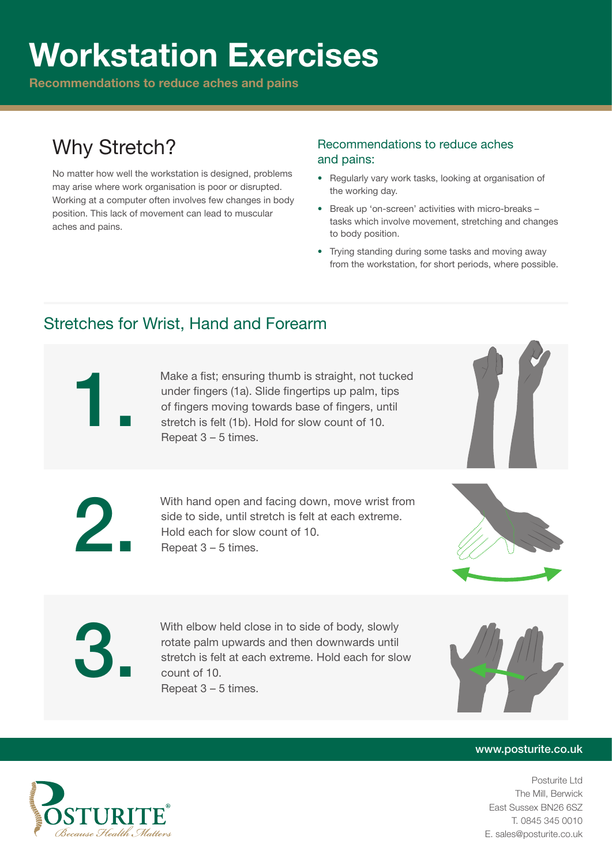# Workstation Exercises

Recommendations to reduce aches and pains

## Why Stretch?

No matter how well the workstation is designed, problems may arise where work organisation is poor or disrupted. Working at a computer often involves few changes in body position. This lack of movement can lead to muscular aches and pains.

### Recommendations to reduce aches and pains:

- Regularly vary work tasks, looking at organisation of the working day.
- Break up 'on-screen' activities with micro-breaks tasks which involve movement, stretching and changes to body position.
- Trying standing during some tasks and moving away from the workstation, for short periods, where possible.

### Stretches for Wrist, Hand and Forearm

Make a fist; ensuring thumb is straight, not tucked<br>under fingers (1a). Slide fingertips up palm, tips<br>of fingers moving towards base of fingers, until<br>stretch is felt (1b). Hold for slow count of 10.<br>Repeat 3 – 5 times. under fingers (1a). Slide fingertips up palm, tips of fingers moving towards base of fingers, until stretch is felt (1b). Hold for slow count of 10. Repeat 3 – 5 times.



With hand open and facing down, move wrist from side to side, until stretch is felt at each extreme. Hold each for slow count of 10. Repeat 3 – 5 times.



With elbow held close in to side of body, slowly<br>rotate palm upwards and then downwards until<br>stretch is felt at each extreme. Hold each for slo<br>count of 10.<br>Repeat 3 – 5 times. rotate palm upwards and then downwards until stretch is felt at each extreme. Hold each for slow count of 10. Repeat 3 – 5 times.



#### www.posturite.co.uk

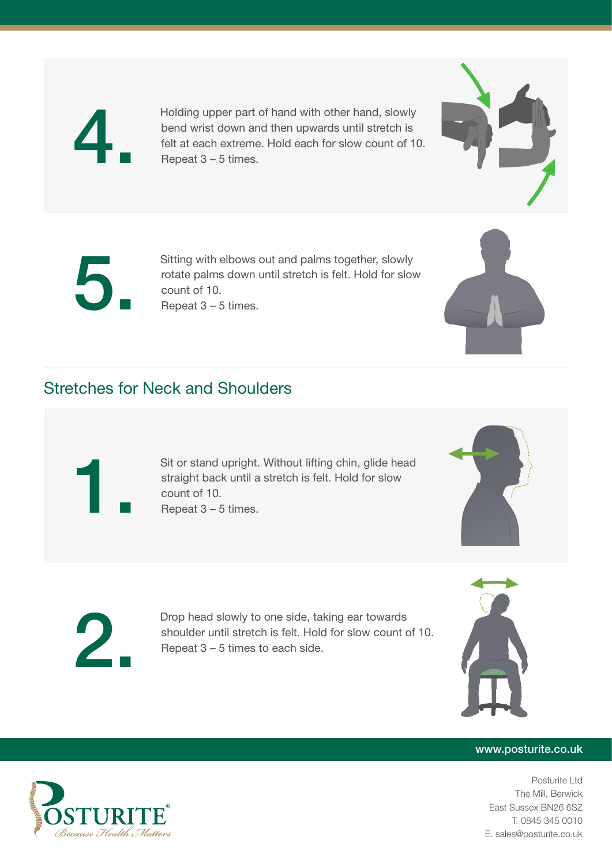

4. Holding upper part of hand with other hand, slowly bend wrist down and then upwards until stretch is felt at each extreme. Hold each for slow count of 10. Repeat  $3 - 5$  times.



Sitting with elbows out and palms together, slowly<br>rotate palms down until stretch is felt. Hold for slow<br>count of 10. rotate palms down until stretch is felt. Hold for slow count of 10. Repeat 3 – 5 times.

### Stretches for Neck and Shoulders

Sit or stand upright. Without lifting chin, glide head straight back until a stretch is felt. Hold for slow count of 10. Repeat 3 – 5 times.





Drop head slowly to one side, taking ear towards<br>shoulder until stretch is felt. Hold for slow count of<br>Repeat 3 – 5 times to each side. shoulder until stretch is felt. Hold for slow count of 10. Repeat 3 – 5 times to each side.



#### www.posturite.co.uk

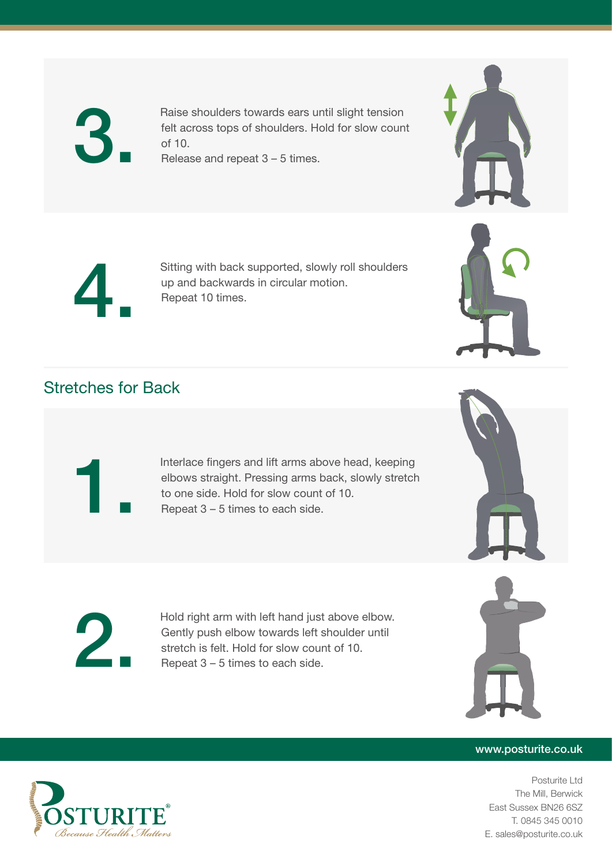

Raise shoulders towards ears until slight tension<br>felt across tops of shoulders. Hold for slow coun<br>of 10. felt across tops of shoulders. Hold for slow count of 10. Release and repeat 3 – 5 times.



Sitting with back supported, slowly roll shoulders up and backwards in circular motion. Repeat 10 times.

### Stretches for Back

Interlace fingers and lift arms above head, keeping elbows straight. Pressing arms back, slowly stretch to one side. Hold for slow count of 10. Repeat 3 – 5 times to each side.





#### www.posturite.co.uk